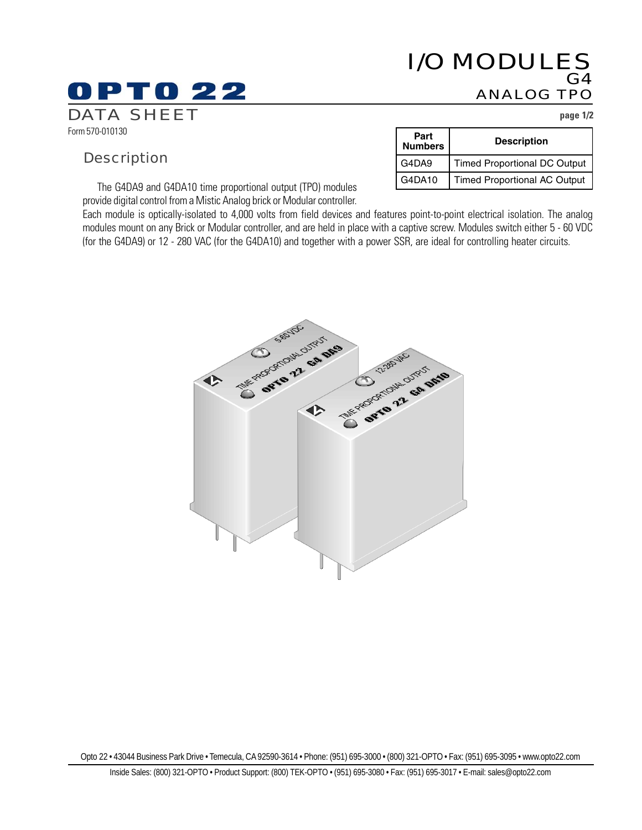## I/O MODULES G4 ANALOG TPO

Form 570-010130

## **Description**

PTO 22

The G4DA9 and G4DA10 time proportional output (TPO) modules provide digital control from a Mistic Analog brick or Modular controller.

Each module is optically-isolated to 4,000 volts from field devices and features point-to-point electrical isolation. The analog modules mount on any Brick or Modular controller, and are held in place with a captive screw. Modules switch either 5 - 60 VDC (for the G4DA9) or 12 - 280 VAC (for the G4DA10) and together with a power SSR, are ideal for controlling heater circuits.





DATA SHEET **page 1/2**

| Part<br><b>Numbers</b> | <b>Description</b>                  |
|------------------------|-------------------------------------|
| G4DA9                  | <b>Timed Proportional DC Output</b> |
| G4DA10                 | <b>Timed Proportional AC Output</b> |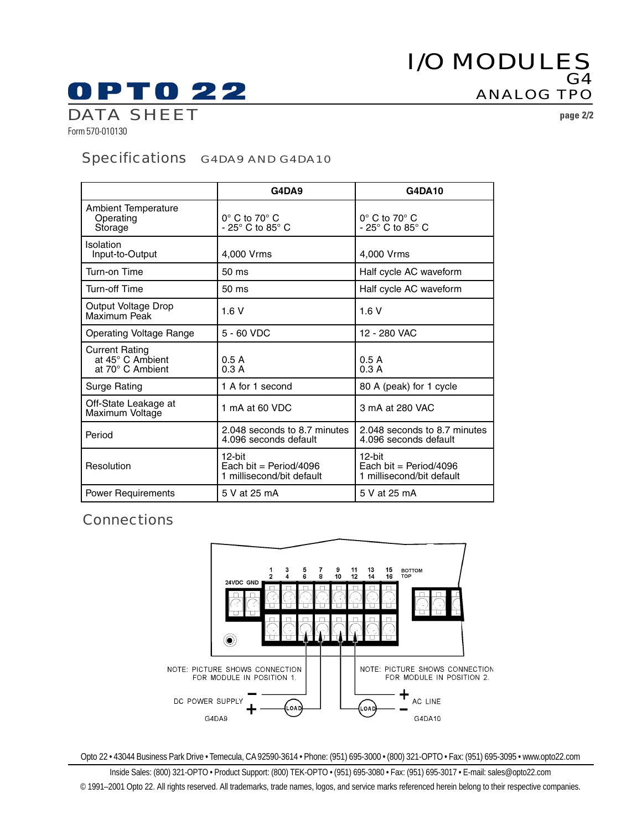# I/O MODULES G4 ANALOG TPO

# **OPTO 22**

DATA SHEET **page 2/2**

Form 570-010130

## Specifications G4DA9 AND G4DA10

|                                                               | G4DA9                                                              | <b>G4DA10</b>                                                      |
|---------------------------------------------------------------|--------------------------------------------------------------------|--------------------------------------------------------------------|
| <b>Ambient Temperature</b><br>Operating<br>Storage            | $0^\circ$ C to 70 $^\circ$ C<br>- 25 $\degree$ C to 85 $\degree$ C | $0^\circ$ C to 70 $^\circ$ C<br>- 25 $\degree$ C to 85 $\degree$ C |
| Isolation<br>Input-to-Output                                  | 4,000 Vrms                                                         | 4.000 Vrms                                                         |
| Turn-on Time                                                  | 50 ms                                                              | Half cycle AC waveform                                             |
| <b>Turn-off Time</b>                                          | 50 ms                                                              | Half cycle AC waveform                                             |
| Output Voltage Drop<br>Maximum Peak                           | 1.6V                                                               | 1.6V                                                               |
| Operating Voltage Range                                       | 5 - 60 VDC                                                         | 12 - 280 VAC                                                       |
| <b>Current Rating</b><br>at 45° C Ambient<br>at 70° C Ambient | 0.5A<br>0.3A                                                       | 0.5A<br>0.3A                                                       |
| Surge Rating                                                  | 1 A for 1 second                                                   | 80 A (peak) for 1 cycle                                            |
| Off-State Leakage at<br>Maximum Voltage                       | 1 mA at 60 VDC                                                     | 3 mA at 280 VAC                                                    |
| Period                                                        | 2.048 seconds to 8.7 minutes<br>4.096 seconds default              | 2.048 seconds to 8.7 minutes<br>4.096 seconds default              |
| Resolution                                                    | $12$ -bit<br>Each bit = Period/4096<br>1 millisecond/bit default   | $12$ -bit<br>Each bit = Period/4096<br>1 millisecond/bit default   |
| <b>Power Requirements</b>                                     | 5 V at 25 mA                                                       | 5 V at 25 mA                                                       |

## **Connections**



Opto 22 • 43044 Business Park Drive • Temecula, CA 92590-3614 • Phone: (951) 695-3000 • (800) 321-OPTO • Fax: (951) 695-3095 • www.opto22.com

Inside Sales: (800) 321-OPTO • Product Support: (800) TEK-OPTO • (951) 695-3080 • Fax: (951) 695-3017 • E-mail: sales@opto22.com © 1991–2001 Opto 22. All rights reserved. All trademarks, trade names, logos, and service marks referenced herein belong to their respective companies.